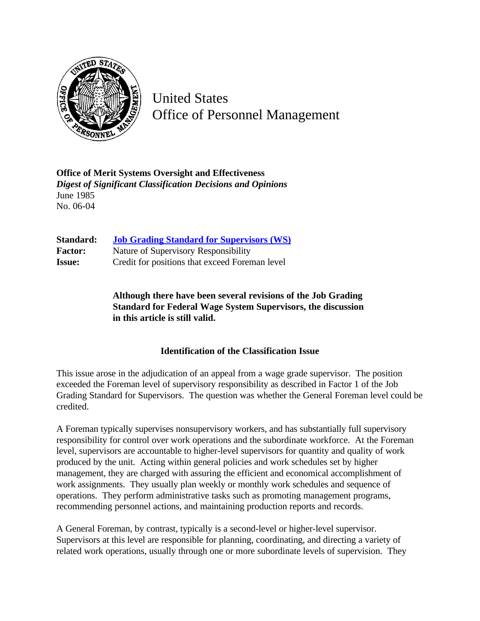

United States Office of Personnel Management

**Office of Merit Systems Oversight and Effectiveness** *Digest of Significant Classification Decisions and Opinions* June 1985 No. 06-04

| Standard:      | <b>Job Grading Standard for Supervisors (WS)</b> |
|----------------|--------------------------------------------------|
| <b>Factor:</b> | Nature of Supervisory Responsibility             |
| <b>Issue:</b>  | Credit for positions that exceed Foreman level   |

**Although there have been several revisions of the Job Grading Standard for Federal Wage System Supervisors, the discussion in this article is still valid.**

## **Identification of the Classification Issue**

This issue arose in the adjudication of an appeal from a wage grade supervisor. The position exceeded the Foreman level of supervisory responsibility as described in Factor 1 of the Job Grading Standard for Supervisors. The question was whether the General Foreman level could be credited.

A Foreman typically supervises nonsupervisory workers, and has substantially full supervisory responsibility for control over work operations and the subordinate workforce. At the Foreman level, supervisors are accountable to higher-level supervisors for quantity and quality of work produced by the unit. Acting within general policies and work schedules set by higher management, they are charged with assuring the efficient and economical accomplishment of work assignments. They usually plan weekly or monthly work schedules and sequence of operations. They perform administrative tasks such as promoting management programs, recommending personnel actions, and maintaining production reports and records.

A General Foreman, by contrast, typically is a second-level or higher-level supervisor. Supervisors at this level are responsible for planning, coordinating, and directing a variety of related work operations, usually through one or more subordinate levels of supervision. They